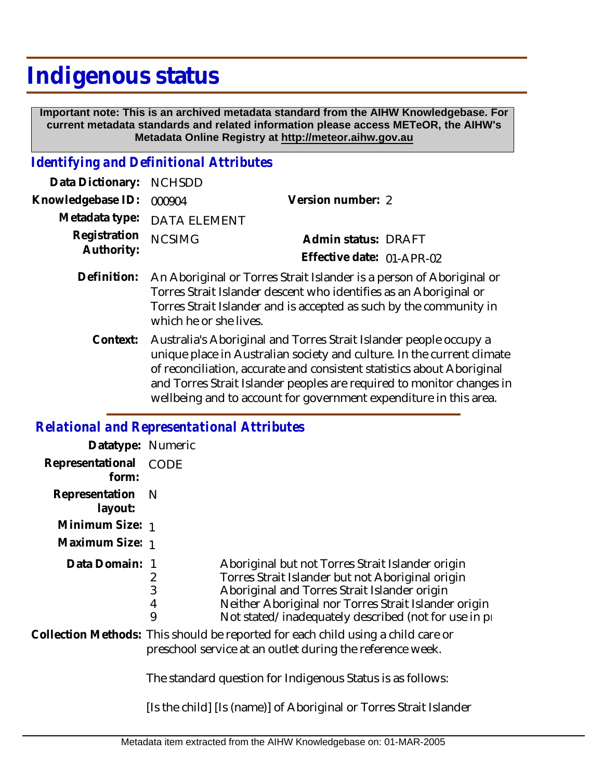## **Indigenous status**

 **Important note: This is an archived metadata standard from the AIHW Knowledgebase. For current metadata standards and related information please access METeOR, the AIHW's Metadata Online Registry at http://meteor.aihw.gov.au**

## *Identifying and Definitional Attributes*

| Data Dictionary: NCHSDD  |                             |                           |  |
|--------------------------|-----------------------------|---------------------------|--|
| Knowledgebase ID: 000904 |                             | Version number: 2         |  |
|                          | Metadata type: DATA ELEMENT |                           |  |
| Registration NCSIMG      |                             | Admin status: DRAFT       |  |
| Authority:               |                             | Effective date: 01-APR-02 |  |
|                          |                             |                           |  |

- Definition: An Aboriginal or Torres Strait Islander is a person of Aboriginal or Torres Strait Islander descent who identifies as an Aboriginal or Torres Strait Islander and is accepted as such by the community in which he or she lives.
	- Context: Australia's Aboriginal and Torres Strait Islander people occupy a unique place in Australian society and culture. In the current climate of reconciliation, accurate and consistent statistics about Aboriginal and Torres Strait Islander peoples are required to monitor changes in wellbeing and to account for government expenditure in this area.

## *Relational and Representational Attributes*

| Datatype: Numeric         |                                                                                                                                                                                                                                                                                            |  |
|---------------------------|--------------------------------------------------------------------------------------------------------------------------------------------------------------------------------------------------------------------------------------------------------------------------------------------|--|
| Representational<br>form: | CODE                                                                                                                                                                                                                                                                                       |  |
| Representation<br>layout: | - N                                                                                                                                                                                                                                                                                        |  |
| Minimum Size: 1           |                                                                                                                                                                                                                                                                                            |  |
| Maximum Size: 1           |                                                                                                                                                                                                                                                                                            |  |
| Data Domain:              | Aboriginal but not Torres Strait Islander origin<br>2<br>Torres Strait Islander but not Aboriginal origin<br>3<br>Aboriginal and Torres Strait Islander origin<br>4<br>Neither Aboriginal nor Torres Strait Islander origin<br>9<br>Not stated/inadequately described (not for use in pro- |  |
|                           | Collection Methods: This should be reported for each child using a child care or<br>preschool service at an outlet during the reference week.<br>The standard question for Indigenous Status is as follows:                                                                                |  |
|                           | [Is the child] [Is (name)] of Aboriginal or Torres Strait Islander                                                                                                                                                                                                                         |  |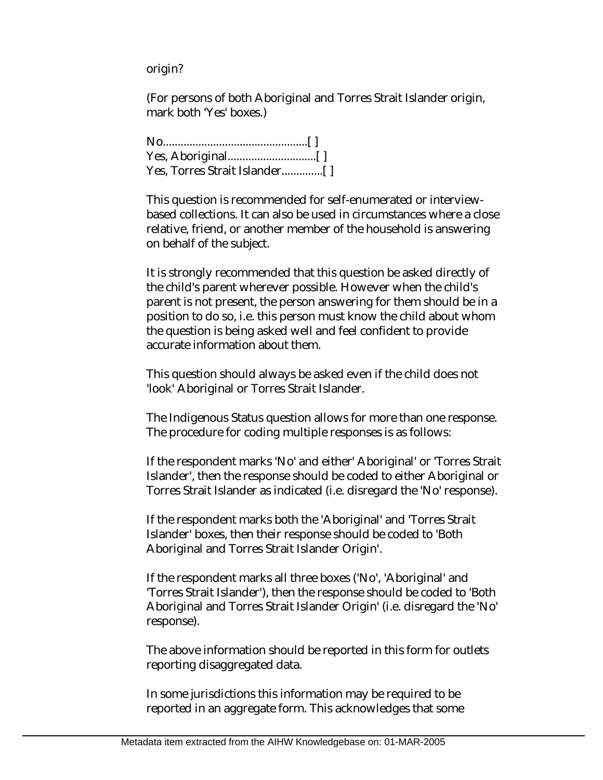origin?

(For persons of both Aboriginal and Torres Strait Islander origin, mark both 'Yes' boxes.)

No.................................................[ ] Yes, Aboriginal..............................[ ] Yes, Torres Strait Islander..............[ ]

This question is recommended for self-enumerated or interviewbased collections. It can also be used in circumstances where a close relative, friend, or another member of the household is answering on behalf of the subject.

It is strongly recommended that this question be asked directly of the child's parent wherever possible. However when the child's parent is not present, the person answering for them should be in a position to do so, i.e. this person must know the child about whom the question is being asked well and feel confident to provide accurate information about them.

This question should always be asked even if the child does not 'look' Aboriginal or Torres Strait Islander.

The Indigenous Status question allows for more than one response. The procedure for coding multiple responses is as follows:

If the respondent marks 'No' and either' Aboriginal' or 'Torres Strait Islander', then the response should be coded to either Aboriginal or Torres Strait Islander as indicated (i.e. disregard the 'No' response).

If the respondent marks both the 'Aboriginal' and 'Torres Strait Islander' boxes, then their response should be coded to 'Both Aboriginal and Torres Strait Islander Origin'.

If the respondent marks all three boxes ('No', 'Aboriginal' and 'Torres Strait Islander'), then the response should be coded to 'Both Aboriginal and Torres Strait Islander Origin' (i.e. disregard the 'No' response).

The above information should be reported in this form for outlets reporting disaggregated data.

In some jurisdictions this information may be required to be reported in an aggregate form. This acknowledges that some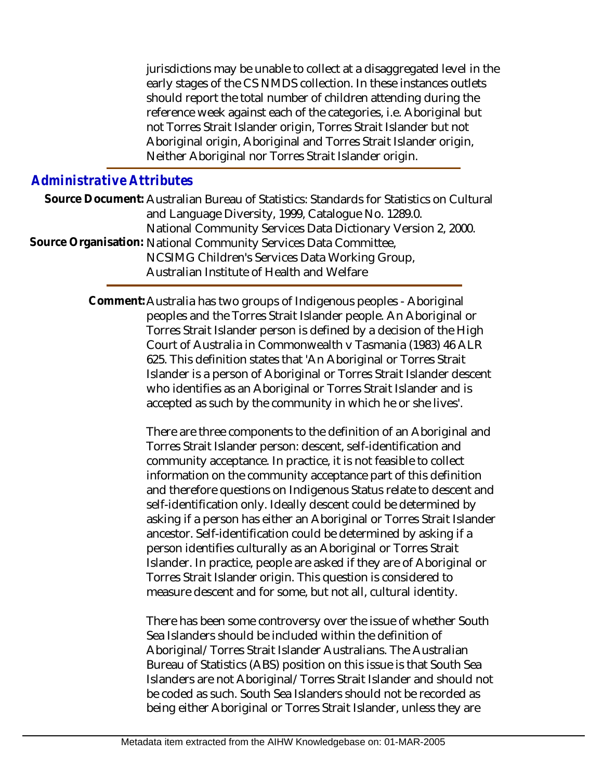jurisdictions may be unable to collect at a disaggregated level in the early stages of the CS NMDS collection. In these instances outlets should report the total number of children attending during the reference week against each of the categories, i.e. Aboriginal but not Torres Strait Islander origin, Torres Strait Islander but not Aboriginal origin, Aboriginal and Torres Strait Islander origin, Neither Aboriginal nor Torres Strait Islander origin.

## *Administrative Attributes*

Source Document: Australian Bureau of Statistics: Standards for Statistics on Cultural and Language Diversity, 1999, Catalogue No. 1289.0. National Community Services Data Dictionary Version 2, 2000. Source Organisation: National Community Services Data Committee, NCSIMG Children's Services Data Working Group, Australian Institute of Health and Welfare

> Comment: Australia has two groups of Indigenous peoples - Aboriginal peoples and the Torres Strait Islander people. An Aboriginal or Torres Strait Islander person is defined by a decision of the High Court of Australia in Commonwealth v Tasmania (1983) 46 ALR 625. This definition states that 'An Aboriginal or Torres Strait Islander is a person of Aboriginal or Torres Strait Islander descent who identifies as an Aboriginal or Torres Strait Islander and is accepted as such by the community in which he or she lives'.

> > There are three components to the definition of an Aboriginal and Torres Strait Islander person: descent, self-identification and community acceptance. In practice, it is not feasible to collect information on the community acceptance part of this definition and therefore questions on Indigenous Status relate to descent and self-identification only. Ideally descent could be determined by asking if a person has either an Aboriginal or Torres Strait Islander ancestor. Self-identification could be determined by asking if a person identifies culturally as an Aboriginal or Torres Strait Islander. In practice, people are asked if they are of Aboriginal or Torres Strait Islander origin. This question is considered to measure descent and for some, but not all, cultural identity.

> > There has been some controversy over the issue of whether South Sea Islanders should be included within the definition of Aboriginal/Torres Strait Islander Australians. The Australian Bureau of Statistics (ABS) position on this issue is that South Sea Islanders are not Aboriginal/Torres Strait Islander and should not be coded as such. South Sea Islanders should not be recorded as being either Aboriginal or Torres Strait Islander, unless they are